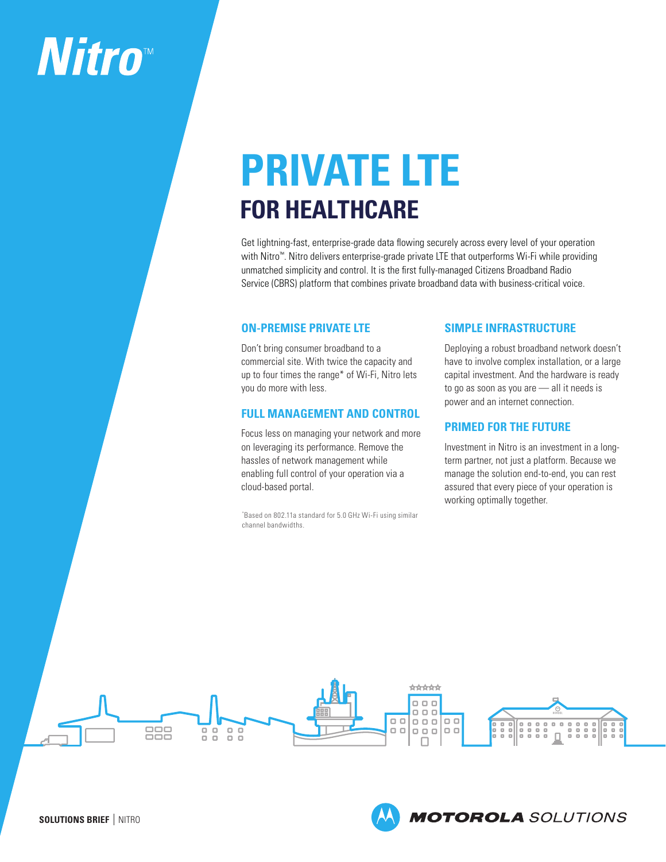# **Nitro**™

## **PRIVATE LTE FOR HEALTHCARE**

Get lightning-fast, enterprise-grade data flowing securely across every level of your operation with Nitro<sup>™</sup>. Nitro delivers enterprise-grade private LTE that outperforms Wi-Fi while providing unmatched simplicity and control. It is the first fully-managed Citizens Broadband Radio Service (CBRS) platform that combines private broadband data with business-critical voice.

## **ON-PREMISE PRIVATE LTE**

Don't bring consumer broadband to a commercial site. With twice the capacity and up to four times the range\* of Wi-Fi, Nitro lets you do more with less.

#### **FULL MANAGEMENT AND CONTROL**

Focus less on managing your network and more on leveraging its performance. Remove the hassles of network management while enabling full control of your operation via a cloud-based portal.

\* Based on 802.11a standard for 5.0 GHz Wi-Fi using similar channel bandwidths.

## **SIMPLE INFRASTRUCTURE**

Deploying a robust broadband network doesn't have to involve complex installation, or a large capital investment. And the hardware is ready to go as soon as you are — all it needs is power and an internet connection.

## **PRIMED FOR THE FUTURE**

Investment in Nitro is an investment in a longterm partner, not just a platform. Because we manage the solution end-to-end, you can rest assured that every piece of your operation is working optimally together.